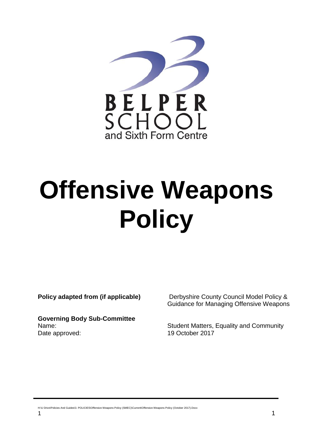

# **Offensive Weapons Policy**

**Governing Body Sub-Committee** Date approved: 19 October 2017

**Policy adapted from (if applicable)** Derbyshire County Council Model Policy & Guidance for Managing Offensive Weapons

Name: Student Matters, Equality and Community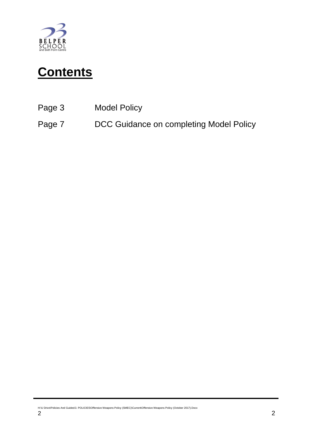

# **Contents**

- Page 3 Model Policy
- Page 7 DCC Guidance on completing Model Policy

H:\U Drive\Policies And Guides\3. POLICIES\Offensive Weapons Policy (SMEC)\Current\Offensive Weapons Policy (October 2017).Docx<br>2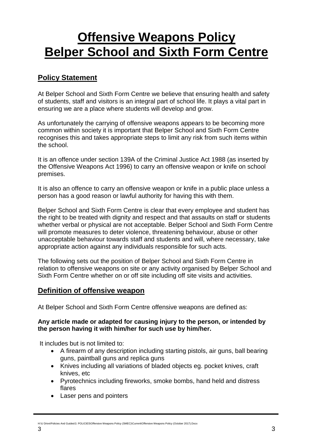## **Offensive Weapons Policy Belper School and Sixth Form Centre**

## **Policy Statement**

At Belper School and Sixth Form Centre we believe that ensuring health and safety of students, staff and visitors is an integral part of school life. It plays a vital part in ensuring we are a place where students will develop and grow.

As unfortunately the carrying of offensive weapons appears to be becoming more common within society it is important that Belper School and Sixth Form Centre recognises this and takes appropriate steps to limit any risk from such items within the school.

It is an offence under section 139A of the Criminal Justice Act 1988 (as inserted by the Offensive Weapons Act 1996) to carry an offensive weapon or knife on school premises.

It is also an offence to carry an offensive weapon or knife in a public place unless a person has a good reason or lawful authority for having this with them.

Belper School and Sixth Form Centre is clear that every employee and student has the right to be treated with dignity and respect and that assaults on staff or students whether verbal or physical are not acceptable. Belper School and Sixth Form Centre will promote measures to deter violence, threatening behaviour, abuse or other unacceptable behaviour towards staff and students and will, where necessary, take appropriate action against any individuals responsible for such acts.

The following sets out the position of Belper School and Sixth Form Centre in relation to offensive weapons on site or any activity organised by Belper School and Sixth Form Centre whether on or off site including off site visits and activities.

#### **Definition of offensive weapon**

At Belper School and Sixth Form Centre offensive weapons are defined as:

#### **Any article made or adapted for causing injury to the person, or intended by the person having it with him/her for such use by him/her.**

It includes but is not limited to:

- A firearm of any description including starting pistols, air guns, ball bearing guns, paintball guns and replica guns
- Knives including all variations of bladed objects eg. pocket knives, craft knives, etc
- Pyrotechnics including fireworks, smoke bombs, hand held and distress flares
- Laser pens and pointers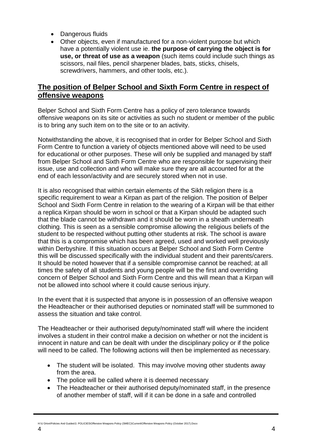- Dangerous fluids
- Other objects, even if manufactured for a non-violent purpose but which have a potentially violent use ie. **the purpose of carrying the object is for use, or threat of use as a weapon** (such items could include such things as scissors, nail files, pencil sharpener blades, bats, sticks, chisels, screwdrivers, hammers, and other tools, etc.).

#### **The position of Belper School and Sixth Form Centre in respect of offensive weapons**

Belper School and Sixth Form Centre has a policy of zero tolerance towards offensive weapons on its site or activities as such no student or member of the public is to bring any such item on to the site or to an activity.

Notwithstanding the above, it is recognised that in order for Belper School and Sixth Form Centre to function a variety of objects mentioned above will need to be used for educational or other purposes. These will only be supplied and managed by staff from Belper School and Sixth Form Centre who are responsible for supervising their issue, use and collection and who will make sure they are all accounted for at the end of each lesson/activity and are securely stored when not in use.

It is also recognised that within certain elements of the Sikh religion there is a specific requirement to wear a Kirpan as part of the religion. The position of Belper School and Sixth Form Centre in relation to the wearing of a Kirpan will be that either a replica Kirpan should be worn in school or that a Kirpan should be adapted such that the blade cannot be withdrawn and it should be worn in a sheath underneath clothing. This is seen as a sensible compromise allowing the religious beliefs of the student to be respected without putting other students at risk. The school is aware that this is a compromise which has been agreed, used and worked well previously within Derbyshire. If this situation occurs at Belper School and Sixth Form Centre this will be discussed specifically with the individual student and their parents/carers. It should be noted however that if a sensible compromise cannot be reached; at all times the safety of all students and young people will be the first and overriding concern of Belper School and Sixth Form Centre and this will mean that a Kirpan will not be allowed into school where it could cause serious injury.

In the event that it is suspected that anyone is in possession of an offensive weapon the Headteacher or their authorised deputies or nominated staff will be summoned to assess the situation and take control.

The Headteacher or their authorised deputy/nominated staff will where the incident involves a student in their control make a decision on whether or not the incident is innocent in nature and can be dealt with under the disciplinary policy or if the police will need to be called. The following actions will then be implemented as necessary.

- The student will be isolated. This may involve moving other students away from the area.
- The police will be called where it is deemed necessary
- The Headteacher or their authorised deputy/nominated staff, in the presence of another member of staff, will if it can be done in a safe and controlled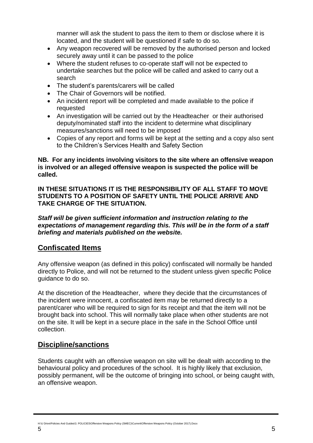manner will ask the student to pass the item to them or disclose where it is located, and the student will be questioned if safe to do so.

- Any weapon recovered will be removed by the authorised person and locked securely away until it can be passed to the police
- Where the student refuses to co-operate staff will not be expected to undertake searches but the police will be called and asked to carry out a search
- The student's parents/carers will be called
- The Chair of Governors will be notified.
- An incident report will be completed and made available to the police if requested
- An investigation will be carried out by the Headteacher or their authorised deputy/nominated staff into the incident to determine what disciplinary measures/sanctions will need to be imposed
- Copies of any report and forms will be kept at the setting and a copy also sent to the Children's Services Health and Safety Section

#### **NB. For any incidents involving visitors to the site where an offensive weapon is involved or an alleged offensive weapon is suspected the police will be called.**

**IN THESE SITUATIONS IT IS THE RESPONSIBILITY OF ALL STAFF TO MOVE STUDENTS TO A POSITION OF SAFETY UNTIL THE POLICE ARRIVE AND TAKE CHARGE OF THE SITUATION.** 

*Staff will be given sufficient information and instruction relating to the expectations of management regarding this. This will be in the form of a staff briefing and materials published on the website.*

#### **Confiscated Items**

Any offensive weapon (as defined in this policy) confiscated will normally be handed directly to Police, and will not be returned to the student unless given specific Police guidance to do so.

At the discretion of the Headteacher, where they decide that the circumstances of the incident were innocent, a confiscated item may be returned directly to a parent/carer who will be required to sign for its receipt and that the item will not be brought back into school. This will normally take place when other students are not on the site. It will be kept in a secure place in the safe in the School Office until collection.

#### **Discipline/sanctions**

Students caught with an offensive weapon on site will be dealt with according to the behavioural policy and procedures of the school. It is highly likely that exclusion, possibly permanent, will be the outcome of bringing into school, or being caught with, an offensive weapon.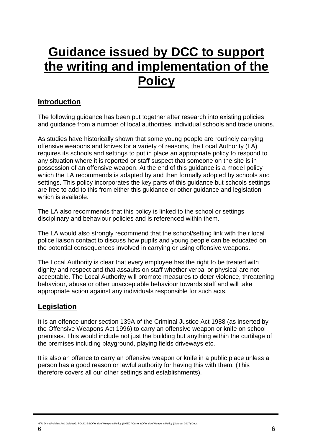## **Guidance issued by DCC to support the writing and implementation of the Policy**

#### **Introduction**

The following guidance has been put together after research into existing policies and guidance from a number of local authorities, individual schools and trade unions.

As studies have historically shown that some young people are routinely carrying offensive weapons and knives for a variety of reasons, the Local Authority (LA) requires its schools and settings to put in place an appropriate policy to respond to any situation where it is reported or staff suspect that someone on the site is in possession of an offensive weapon. At the end of this guidance is a model policy which the LA recommends is adapted by and then formally adopted by schools and settings. This policy incorporates the key parts of this guidance but schools settings are free to add to this from either this guidance or other guidance and legislation which is available.

The LA also recommends that this policy is linked to the school or settings disciplinary and behaviour policies and is referenced within them.

The LA would also strongly recommend that the school/setting link with their local police liaison contact to discuss how pupils and young people can be educated on the potential consequences involved in carrying or using offensive weapons.

The Local Authority is clear that every employee has the right to be treated with dignity and respect and that assaults on staff whether verbal or physical are not acceptable. The Local Authority will promote measures to deter violence, threatening behaviour, abuse or other unacceptable behaviour towards staff and will take appropriate action against any individuals responsible for such acts.

#### **Legislation**

It is an offence under section 139A of the Criminal Justice Act 1988 (as inserted by the Offensive Weapons Act 1996) to carry an offensive weapon or knife on school premises. This would include not just the building but anything within the curtilage of the premises including playground, playing fields driveways etc.

It is also an offence to carry an offensive weapon or knife in a public place unless a person has a good reason or lawful authority for having this with them. (This therefore covers all our other settings and establishments).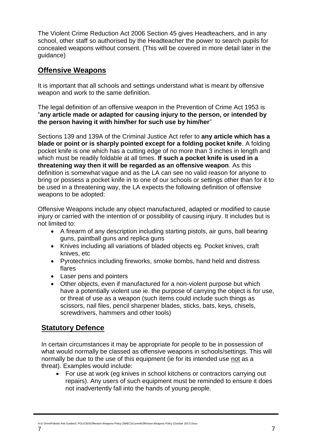The Violent Crime Reduction Act 2006 Section 45 gives Headteachers, and in any school, other staff so authorised by the Headteacher the power to search pupils for concealed weapons without consent. (This will be covered in more detail later in the guidance)

#### **Offensive Weapons**

It is important that all schools and settings understand what is meant by offensive weapon and work to the same definition.

The legal definition of an offensive weapon in the Prevention of Crime Act 1953 is "**any article made or adapted for causing injury to the person, or intended by the person having it with him/her for such use by him/her**"

Sections 139 and 139A of the Criminal Justice Act refer to **any article which has a blade or point or is sharply pointed except for a folding pocket knife**. A folding pocket knife is one which has a cutting edge of no more than 3 inches in length and which must be readily foldable at all times. **If such a pocket knife is used in a threatening way then it will be regarded as an offensive weapon**. As this definition is somewhat vague and as the LA can see no valid reason for anyone to bring or possess a pocket knife in to one of our schools or settings other than for it to be used in a threatening way, the LA expects the following definition of offensive weapons to be adopted:

Offensive Weapons include any object manufactured, adapted or modified to cause injury or carried with the intention of or possibility of causing injury. It includes but is not limited to:

- A firearm of any description including starting pistols, air guns, ball bearing guns, paintball guns and replica guns
- Knives including all variations of bladed objects eg. Pocket knives, craft knives, etc
- Pyrotechnics including fireworks, smoke bombs, hand held and distress flares
- Laser pens and pointers
- Other objects, even if manufactured for a non-violent purpose but which have a potentially violent use ie. the purpose of carrying the object is for use, or threat of use as a weapon (such items could include such things as scissors, nail files, pencil sharpener blades, sticks, bats, keys, chisels, screwdrivers, hammers and other tools)

#### **Statutory Defence**

In certain circumstances it may be appropriate for people to be in possession of what would normally be classed as offensive weapons in schools/settings. This will normally be due to the use of this equipment (ie for its intended use not as a threat). Examples would include:

 For use at work (eg knives in school kitchens or contractors carrying out repairs). Any users of such equipment must be reminded to ensure it does not inadvertently fall into the hands of young people.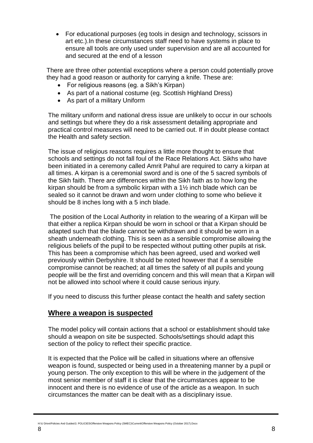For educational purposes (eg tools in design and technology, scissors in art etc.).In these circumstances staff need to have systems in place to ensure all tools are only used under supervision and are all accounted for and secured at the end of a lesson

There are three other potential exceptions where a person could potentially prove they had a good reason or authority for carrying a knife. These are:

- For religious reasons (eg. a Sikh's Kirpan)
- As part of a national costume (eg. Scottish Highland Dress)
- As part of a military Uniform

The military uniform and national dress issue are unlikely to occur in our schools and settings but where they do a risk assessment detailing appropriate and practical control measures will need to be carried out. If in doubt please contact the Health and safety section.

The issue of religious reasons requires a little more thought to ensure that schools and settings do not fall foul of the Race Relations Act. Sikhs who have been initiated in a ceremony called Amrit Pahul are required to carry a kirpan at all times. A kirpan is a ceremonial sword and is one of the 5 sacred symbols of the Sikh faith. There are differences within the Sikh faith as to how long the kirpan should be from a symbolic kirpan with a 1½ inch blade which can be sealed so it cannot be drawn and worn under clothing to some who believe it should be 8 inches long with a 5 inch blade.

The position of the Local Authority in relation to the wearing of a Kirpan will be that either a replica Kirpan should be worn in school or that a Kirpan should be adapted such that the blade cannot be withdrawn and it should be worn in a sheath underneath clothing. This is seen as a sensible compromise allowing the religious beliefs of the pupil to be respected without putting other pupils at risk. This has been a compromise which has been agreed, used and worked well previously within Derbyshire. It should be noted however that if a sensible compromise cannot be reached; at all times the safety of all pupils and young people will be the first and overriding concern and this will mean that a Kirpan will not be allowed into school where it could cause serious injury.

If you need to discuss this further please contact the health and safety section

#### **Where a weapon is suspected**

The model policy will contain actions that a school or establishment should take should a weapon on site be suspected. Schools/settings should adapt this section of the policy to reflect their specific practice.

It is expected that the Police will be called in situations where an offensive weapon is found, suspected or being used in a threatening manner by a pupil or young person. The only exception to this will be where in the judgement of the most senior member of staff it is clear that the circumstances appear to be innocent and there is no evidence of use of the article as a weapon. In such circumstances the matter can be dealt with as a disciplinary issue.

H:\U Drive\Policies And Guides\3. POLICIES\Offensive Weapons Policy (SMEC)\Current\Offensive Weapons Policy (October 2017).Docx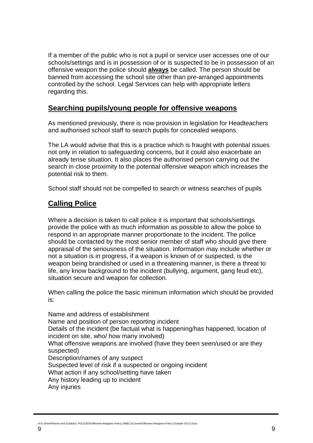If a member of the public who is not a pupil or service user accesses one of our schools/settings and is in possession of or is suspected to be in possession of an offensive weapon the police should **always** be called. The person should be banned from accessing the school site other than pre-arranged appointments controlled by the school. Legal Services can help with appropriate letters regarding this.

#### **Searching pupils/young people for offensive weapons**

As mentioned previously, there is now provision in legislation for Headteachers and authorised school staff to search pupils for concealed weapons.

The LA would advise that this is a practice which is fraught with potential issues not only in relation to safeguarding concerns, but it could also exacerbate an already tense situation. It also places the authorised person carrying out the search in close proximity to the potential offensive weapon which increases the potential risk to them.

School staff should not be compelled to search or witness searches of pupils

#### **Calling Police**

Where a decision is taken to call police it is important that schools/settings provide the police with as much information as possible to allow the police to respond in an appropriate manner proportionate to the incident. The police should be contacted by the most senior member of staff who should give there appraisal of the seriousness of the situation. Information may include whether or not a situation is in progress, if a weapon is known of or suspected, is the weapon being brandished or used in a threatening manner, is there a threat to life, any know background to the incident (bullying, argument, gang feud etc), situation secure and weapon for collection.

When calling the police the basic minimum information which should be provided is:

Name and address of establishment Name and position of person reporting incident Details of the incident (be factual what is happening/has happened, location of incident on site, who/ how many involved) What offensive weapons are involved (have they been seen/used or are they suspected) Description/names of any suspect Suspected level of risk if a suspected or ongoing incident What action if any school/setting have taken Any history leading up to incident

Any injuries